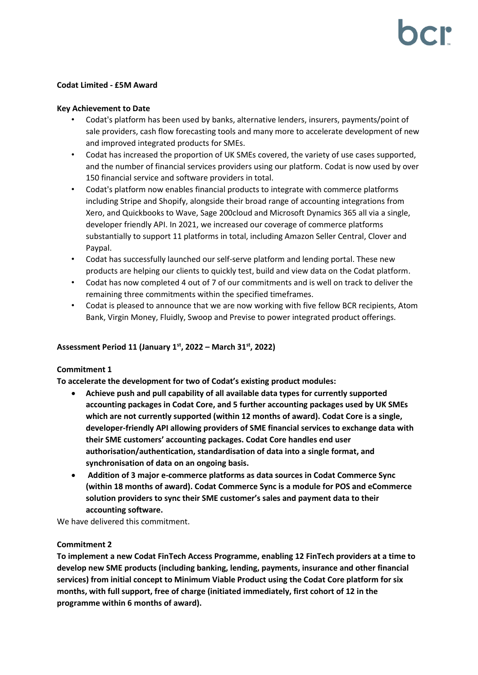# **Codat Limited - £5M Award**

# **Key Achievement to Date**

- Codat's platform has been used by banks, alternative lenders, insurers, payments/point of sale providers, cash flow forecasting tools and many more to accelerate development of new and improved integrated products for SMEs.
- Codat has increased the proportion of UK SMEs covered, the variety of use cases supported, and the number of financial services providers using our platform. Codat is now used by over 150 financial service and software providers in total.
- Codat's platform now enables financial products to integrate with commerce platforms including Stripe and Shopify, alongside their broad range of accounting integrations from Xero, and Quickbooks to Wave, Sage 200cloud and Microsoft Dynamics 365 all via a single, developer friendly API. In 2021, we increased our coverage of commerce platforms substantially to support 11 platforms in total, including Amazon Seller Central, Clover and Paypal.
- Codat has successfully launched our self-serve platform and lending portal. These new products are helping our clients to quickly test, build and view data on the Codat platform.
- Codat has now completed 4 out of 7 of our commitments and is well on track to deliver the remaining three commitments within the specified timeframes.
- Codat is pleased to announce that we are now working with five fellow BCR recipients, Atom Bank, Virgin Money, Fluidly, Swoop and Previse to power integrated product offerings.

# **Assessment Period 11 (January 1st, 2022 – March 31st , 2022)**

### **Commitment 1**

**To accelerate the development for two of Codat's existing product modules:**

- **Achieve push and pull capability of all available data types for currently supported accounting packages in Codat Core, and 5 further accounting packages used by UK SMEs which are not currently supported (within 12 months of award). Codat Core is a single, developer-friendly API allowing providers of SME financial services to exchange data with their SME customers' accounting packages. Codat Core handles end user authorisation/authentication, standardisation of data into a single format, and synchronisation of data on an ongoing basis.**
- **Addition of 3 major e-commerce platforms as data sources in Codat Commerce Sync (within 18 months of award). Codat Commerce Sync is a module for POS and eCommerce solution providers to sync their SME customer's sales and payment data to their accounting software.**

We have delivered this commitment.

### **Commitment 2**

**To implement a new Codat FinTech Access Programme, enabling 12 FinTech providers at a time to develop new SME products (including banking, lending, payments, insurance and other financial services) from initial concept to Minimum Viable Product using the Codat Core platform for six months, with full support, free of charge (initiated immediately, first cohort of 12 in the programme within 6 months of award).**